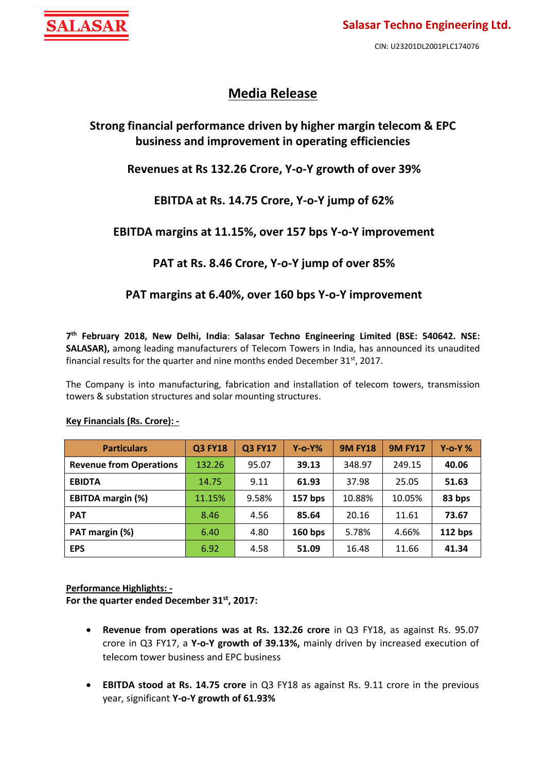

# **Media Release**

# **Strong financial performance driven by higher margin telecom & EPC business and improvement in operating efficiencies**

# **Revenues at Rs 132.26 Crore, Y-o-Y growth of over 39%**

# **EBITDA at Rs. 14.75 Crore, Y-o-Y jump of 62%**

# **EBITDA margins at 11.15%, over 157 bps Y-o-Y improvement**

# **PAT at Rs. 8.46 Crore, Y-o-Y jump of over 85%**

### **PAT margins at 6.40%, over 160 bps Y-o-Y improvement**

**7 th February 2018, New Delhi, India**: **Salasar Techno Engineering Limited (BSE: 540642. NSE: SALASAR),** among leading manufacturers of Telecom Towers in India, has announced its unaudited financial results for the quarter and nine months ended December 31 $^{\rm st}$ , 2017.

The Company is into manufacturing, fabrication and installation of telecom towers, transmission towers & substation structures and solar mounting structures.

| <b>Particulars</b>             | <b>Q3 FY18</b> | <b>Q3 FY17</b> | $Y$ -0- $Y\%$ | <b>9M FY18</b> | <b>9M FY17</b> | $Y$ -o-Y $%$ |
|--------------------------------|----------------|----------------|---------------|----------------|----------------|--------------|
| <b>Revenue from Operations</b> | 132.26         | 95.07          | 39.13         | 348.97         | 249.15         | 40.06        |
| <b>EBIDTA</b>                  | 14.75          | 9.11           | 61.93         | 37.98          | 25.05          | 51.63        |
| <b>EBITDA margin (%)</b>       | 11.15%         | 9.58%          | 157 bps       | 10.88%         | 10.05%         | 83 bps       |
| <b>PAT</b>                     | 8.46           | 4.56           | 85.64         | 20.16          | 11.61          | 73.67        |
| PAT margin (%)                 | 6.40           | 4.80           | $160$ bps     | 5.78%          | 4.66%          | 112 bps      |
| <b>EPS</b>                     | 6.92           | 4.58           | 51.09         | 16.48          | 11.66          | 41.34        |

### **Key Financials (Rs. Crore): -**

### **Performance Highlights: -**

**For the quarter ended December 31 st, 2017:**

- **Revenue from operations was at Rs. 132.26 crore** in Q3 FY18, as against Rs. 95.07 crore in Q3 FY17, a **Y-o-Y growth of 39.13%,** mainly driven by increased execution of telecom tower business and EPC business
- **EBITDA stood at Rs. 14.75 crore** in Q3 FY18 as against Rs. 9.11 crore in the previous year, significant **Y-o-Y growth of 61.93%**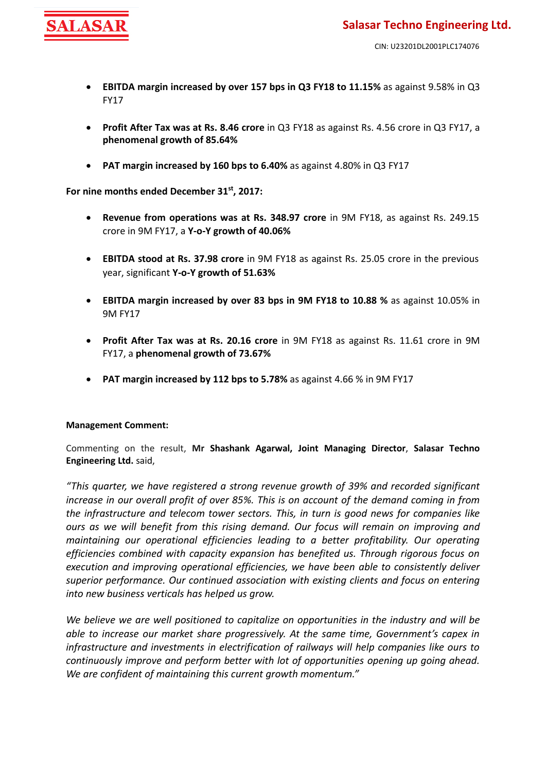

- **EBITDA margin increased by over 157 bps in Q3 FY18 to 11.15%** as against 9.58% in Q3 FY17
- **Profit After Tax was at Rs. 8.46 crore** in Q3 FY18 as against Rs. 4.56 crore in Q3 FY17, a **phenomenal growth of 85.64%**
- **PAT margin increased by 160 bps to 6.40%** as against 4.80% in Q3 FY17

**For nine months ended December 31 st, 2017:**

- **Revenue from operations was at Rs. 348.97 crore** in 9M FY18, as against Rs. 249.15 crore in 9M FY17, a **Y-o-Y growth of 40.06%**
- **EBITDA stood at Rs. 37.98 crore** in 9M FY18 as against Rs. 25.05 crore in the previous year, significant **Y-o-Y growth of 51.63%**
- **EBITDA margin increased by over 83 bps in 9M FY18 to 10.88 %** as against 10.05% in 9M FY17
- **Profit After Tax was at Rs. 20.16 crore** in 9M FY18 as against Rs. 11.61 crore in 9M FY17, a **phenomenal growth of 73.67%**
- **PAT margin increased by 112 bps to 5.78%** as against 4.66 % in 9M FY17

### **Management Comment:**

Commenting on the result, **Mr Shashank Agarwal, Joint Managing Director**, **Salasar Techno Engineering Ltd.** said,

*"This quarter, we have registered a strong revenue growth of 39% and recorded significant increase in our overall profit of over 85%. This is on account of the demand coming in from the infrastructure and telecom tower sectors. This, in turn is good news for companies like ours as we will benefit from this rising demand. Our focus will remain on improving and maintaining our operational efficiencies leading to a better profitability. Our operating efficiencies combined with capacity expansion has benefited us. Through rigorous focus on execution and improving operational efficiencies, we have been able to consistently deliver superior performance. Our continued association with existing clients and focus on entering into new business verticals has helped us grow.*

*We believe we are well positioned to capitalize on opportunities in the industry and will be able to increase our market share progressively. At the same time, Government's capex in infrastructure and investments in electrification of railways will help companies like ours to continuously improve and perform better with lot of opportunities opening up going ahead. We are confident of maintaining this current growth momentum."*